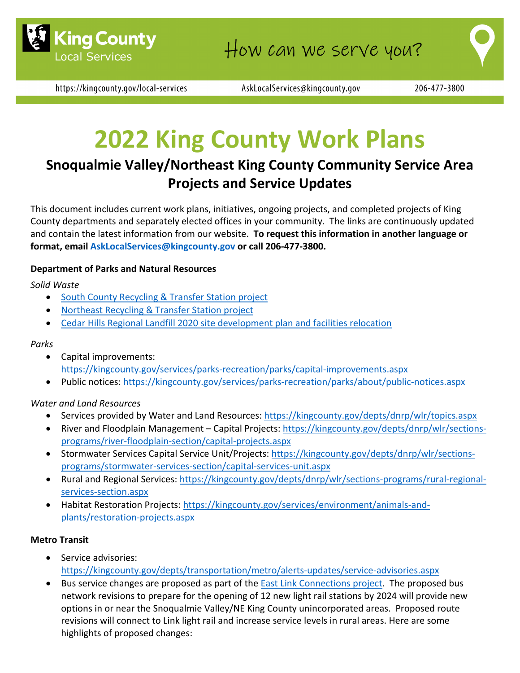



AskLocalServices@kingcounty.gov

# **2022 King County Work Plans**

# **Snoqualmie Valley/Northeast King County Community Service Area Projects and Service Updates**

This document includes current work plans, initiatives, ongoing projects, and completed projects of King County departments and separately elected offices in your community. The links are continuously updated and contain the latest information from our website. **To request this information in another language or format, email [AskLocalServices@kingcounty.gov](mailto:AskLocalServices@kingcounty.gov) or call 206-477-3800.**

#### **Department of Parks and Natural Resources**

#### *Solid Waste*

- [South County Recycling & Transfer Station project](https://kingcounty.gov/depts/dnrp/solid-waste/facilities/south-county.aspx)
- [Northeast Recycling & Transfer Station project](https://kingcounty.gov/depts/dnrp/solid-waste/facilities/northeast.aspx)
- [Cedar Hills Regional Landfill 2020 site development plan and facilities relocation](https://kingcounty.gov/depts/dnrp/solid-waste/facilities/landfills/cedar-hills-development.aspx)

#### *Parks*

- Capital improvements: <https://kingcounty.gov/services/parks-recreation/parks/capital-improvements.aspx>
- Public notices:<https://kingcounty.gov/services/parks-recreation/parks/about/public-notices.aspx>

#### *Water and Land Resources*

- Services provided by Water and Land Resources:<https://kingcounty.gov/depts/dnrp/wlr/topics.aspx>
- River and Floodplain Management Capital Projects: [https://kingcounty.gov/depts/dnrp/wlr/sections](https://kingcounty.gov/depts/dnrp/wlr/sections-programs/river-floodplain-section/capital-projects.aspx)[programs/river-floodplain-section/capital-projects.aspx](https://kingcounty.gov/depts/dnrp/wlr/sections-programs/river-floodplain-section/capital-projects.aspx)
- Stormwater Services Capital Service Unit/Projects: [https://kingcounty.gov/depts/dnrp/wlr/sections](https://kingcounty.gov/depts/dnrp/wlr/sections-programs/stormwater-services-section/capital-services-unit.aspx)[programs/stormwater-services-section/capital-services-unit.aspx](https://kingcounty.gov/depts/dnrp/wlr/sections-programs/stormwater-services-section/capital-services-unit.aspx)
- Rural and Regional Services: [https://kingcounty.gov/depts/dnrp/wlr/sections-programs/rural-regional](https://kingcounty.gov/depts/dnrp/wlr/sections-programs/rural-regional-services-section.aspx)[services-section.aspx](https://kingcounty.gov/depts/dnrp/wlr/sections-programs/rural-regional-services-section.aspx)
- Habitat Restoration Projects: [https://kingcounty.gov/services/environment/animals-and](https://kingcounty.gov/services/environment/animals-and-plants/restoration-projects.aspx)[plants/restoration-projects.aspx](https://kingcounty.gov/services/environment/animals-and-plants/restoration-projects.aspx)

#### **Metro Transit**

- Service advisories: <https://kingcounty.gov/depts/transportation/metro/alerts-updates/service-advisories.aspx>
- Bus service changes are proposed as part of the **East Link Connections project**. The proposed bus network revisions to prepare for the opening of 12 new light rail stations by 2024 will provide new options in or near the Snoqualmie Valley/NE King County unincorporated areas. Proposed route revisions will connect to Link light rail and increase service levels in rural areas. Here are some highlights of proposed changes: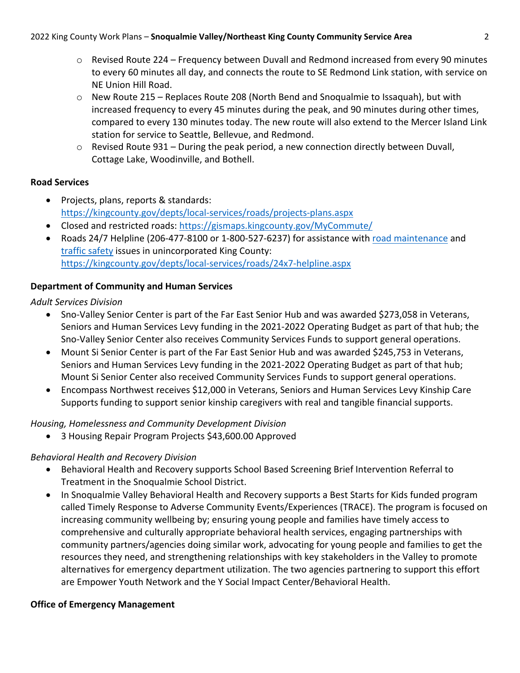- o Revised Route 224 Frequency between Duvall and Redmond increased from every 90 minutes to every 60 minutes all day, and connects the route to SE Redmond Link station, with service on NE Union Hill Road.
- o New Route 215 Replaces Route 208 (North Bend and Snoqualmie to Issaquah), but with increased frequency to every 45 minutes during the peak, and 90 minutes during other times, compared to every 130 minutes today. The new route will also extend to the Mercer Island Link station for service to Seattle, Bellevue, and Redmond.
- $\circ$  Revised Route 931 During the peak period, a new connection directly between Duvall, Cottage Lake, Woodinville, and Bothell.

#### **Road Services**

- Projects, plans, reports & standards: <https://kingcounty.gov/depts/local-services/roads/projects-plans.aspx>
- Closed and restricted roads:<https://gismaps.kingcounty.gov/MyCommute/>
- Roads 24/7 Helpline (206-477-8100 or 1-800-527-6237) for assistance with [road maintenance](https://kingcounty.gov/depts/local-services/roads/road-maintenance.aspx) and [traffic safety](https://kingcounty.gov/depts/local-services/roads/traffic.aspx) issues in unincorporated King County: <https://kingcounty.gov/depts/local-services/roads/24x7-helpline.aspx>

### **Department of Community and Human Services**

*Adult Services Division*

- Sno-Valley Senior Center is part of the Far East Senior Hub and was awarded \$273,058 in Veterans, Seniors and Human Services Levy funding in the 2021-2022 Operating Budget as part of that hub; the Sno-Valley Senior Center also receives Community Services Funds to support general operations.
- Mount Si Senior Center is part of the Far East Senior Hub and was awarded \$245,753 in Veterans, Seniors and Human Services Levy funding in the 2021-2022 Operating Budget as part of that hub; Mount Si Senior Center also received Community Services Funds to support general operations.
- Encompass Northwest receives \$12,000 in Veterans, Seniors and Human Services Levy Kinship Care Supports funding to support senior kinship caregivers with real and tangible financial supports.

# *Housing, Homelessness and Community Development Division*

• 3 Housing Repair Program Projects \$43,600.00 Approved

# *Behavioral Health and Recovery Division*

- Behavioral Health and Recovery supports School Based Screening Brief Intervention Referral to Treatment in the Snoqualmie School District.
- In Snoqualmie Valley Behavioral Health and Recovery supports a Best Starts for Kids funded program called Timely Response to Adverse Community Events/Experiences (TRACE). The program is focused on increasing community wellbeing by; ensuring young people and families have timely access to comprehensive and culturally appropriate behavioral health services, engaging partnerships with community partners/agencies doing similar work, advocating for young people and families to get the resources they need, and strengthening relationships with key stakeholders in the Valley to promote alternatives for emergency department utilization. The two agencies partnering to support this effort are Empower Youth Network and the Y Social Impact Center/Behavioral Health.

# **Office of Emergency Management**